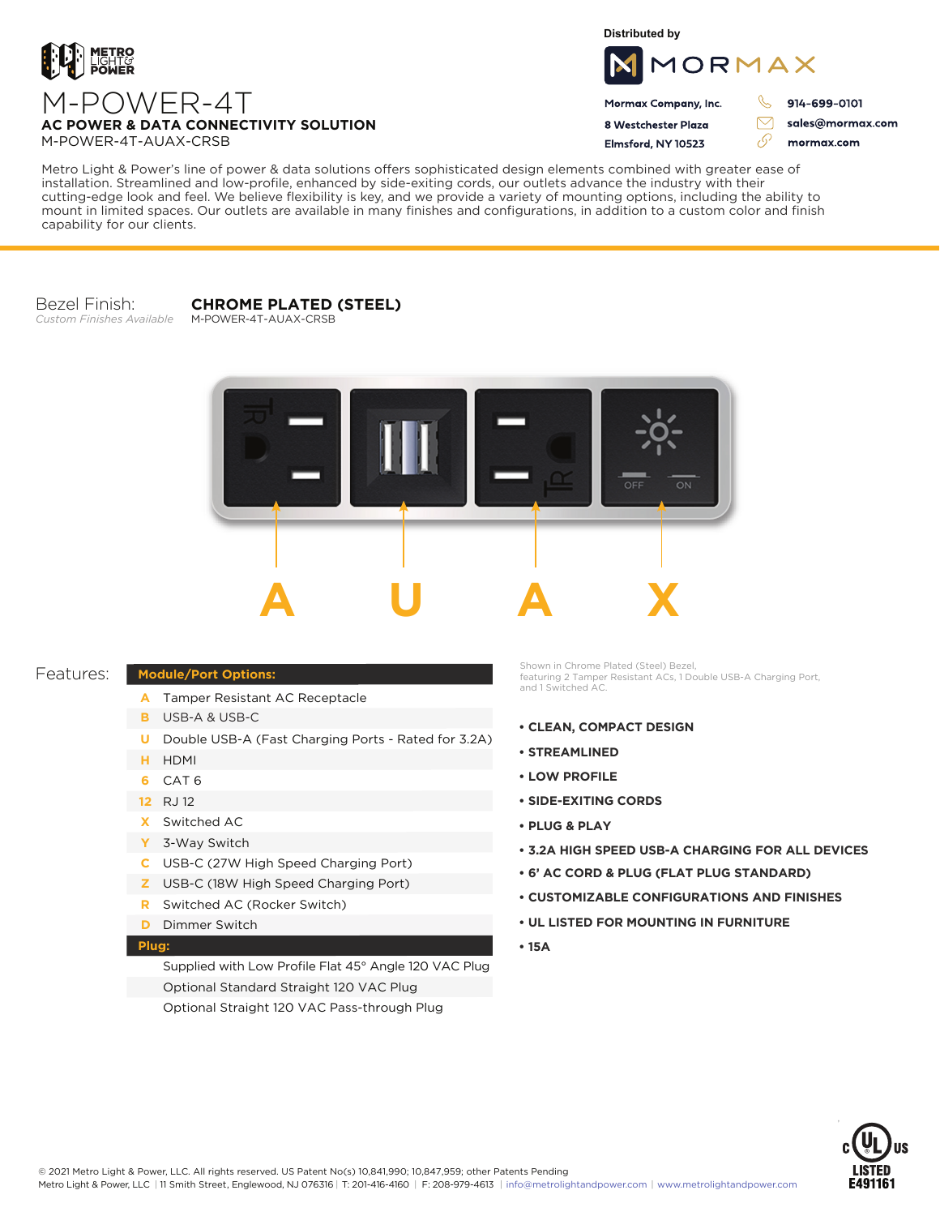

**Distributed by**



Mormax Company, Inc. 8 Westchester Plaza

Flmsford, NY 10523

J. 914-699-0101

 $\triangledown$ 

وي

sales@mormax.com mormax.com

M-POWER-4T **AC POWER & DATA CONNECTIVITY SOLUTION** M-POWER-4T-AUAX-CRSB

Metro Light & Power's line of power & data solutions offers sophisticated design elements combined with greater ease of installation. Streamlined and low-profile, enhanced by side-exiting cords, our outlets advance the industry with their cutting-edge look and feel. We believe flexibility is key, and we provide a variety of mounting options, including the ability to mount in limited spaces. Our outlets are available in many finishes and configurations, in addition to a custom color and finish capability for our clients.

Bezel Finish: *Custom Finishes Available*

## **CHROME PLATED (STEEL)**

M-POWER-4T-AUAX-CRSB



## Features:

- A Tamper Resistant AC Receptacle
- USB-A & USB-C **B**

**Module/Port Options:**

- U Double USB-A (Fast Charging Ports Rated for 3.2A)
- HDMI **H**
- CAT 6 **6**
- 12 RJ 12
- Switched AC **X**
- 3-Way Switch **Y**
- USB-C (27W High Speed Charging Port) **C**
- USB-C (18W High Speed Charging Port) **Z**
- Switched AC (Rocker Switch) **R**
- **D** Dimmer Switch

## **Plug:**

Supplied with Low Profile Flat 45° Angle 120 VAC Plug Optional Standard Straight 120 VAC Plug Optional Straight 120 VAC Pass-through Plug

Shown in Chrome Plated (Steel) Bezel, featuring 2 Tamper Resistant ACs, 1 Double USB-A Charging Port, and 1 Switched AC.

- **CLEAN, COMPACT DESIGN**
- **STREAMLINED**
- **LOW PROFILE**
- **SIDE-EXITING CORDS**
- **PLUG & PLAY**
- **3.2A HIGH SPEED USB-A CHARGING FOR ALL DEVICES**
- **6' AC CORD & PLUG (FLAT PLUG STANDARD)**
- **CUSTOMIZABLE CONFIGURATIONS AND FINISHES**
- **UL LISTED FOR MOUNTING IN FURNITURE**
- **15A**